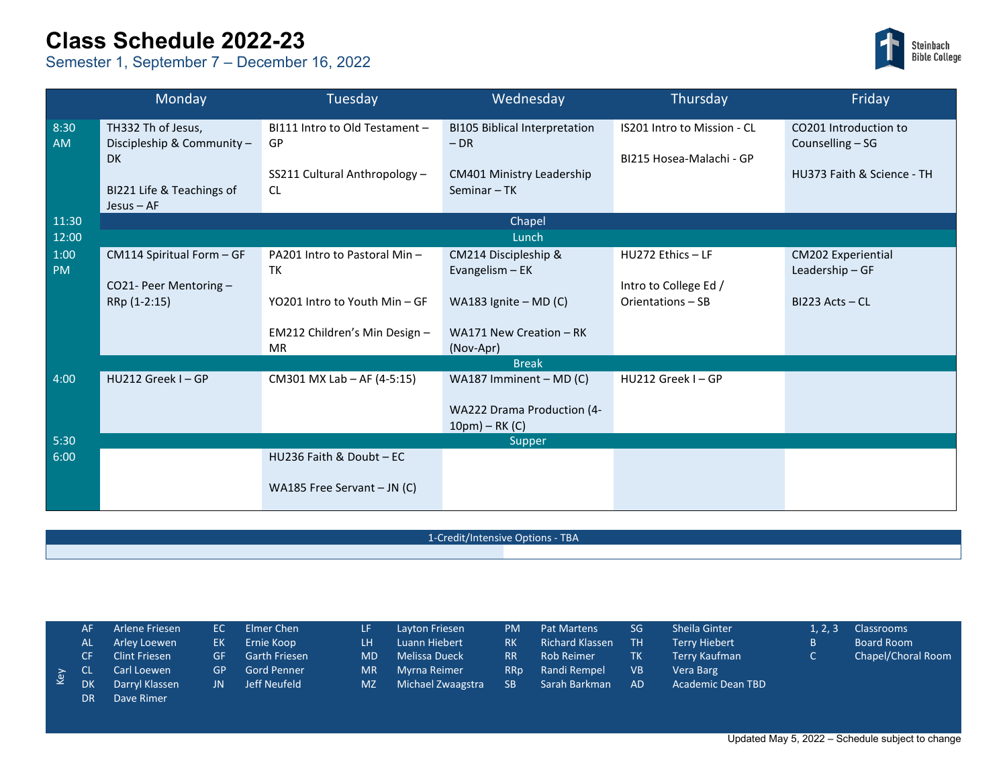## **Class Schedule 2022-23**

Semester 1, September 7 – December 16, 2022



| Monday            |                                                                                                     | Tuesday                                                                            | Wednesday                                                                                | Thursday                                                | Friday                                                                  |  |  |  |  |  |  |
|-------------------|-----------------------------------------------------------------------------------------------------|------------------------------------------------------------------------------------|------------------------------------------------------------------------------------------|---------------------------------------------------------|-------------------------------------------------------------------------|--|--|--|--|--|--|
| 8:30<br><b>AM</b> | TH332 Th of Jesus,<br>Discipleship & Community -<br>DK<br>BI221 Life & Teachings of<br>$Jesus - AF$ | BI111 Intro to Old Testament -<br>GP<br>SS211 Cultural Anthropology -<br><b>CL</b> | <b>BI105 Biblical Interpretation</b><br>$-DR$<br>CM401 Ministry Leadership<br>Seminar-TK | IS201 Intro to Mission - CL<br>BI215 Hosea-Malachi - GP | CO201 Introduction to<br>Counselling - SG<br>HU373 Faith & Science - TH |  |  |  |  |  |  |
| 11:30             | Chapel                                                                                              |                                                                                    |                                                                                          |                                                         |                                                                         |  |  |  |  |  |  |
| 12:00             | Lunch                                                                                               |                                                                                    |                                                                                          |                                                         |                                                                         |  |  |  |  |  |  |
| 1:00<br><b>PM</b> | CM114 Spiritual Form - GF                                                                           | PA201 Intro to Pastoral Min-<br>TK                                                 | CM214 Discipleship &<br>Evangelism - EK                                                  | HU272 Ethics - LF                                       | <b>CM202 Experiential</b><br>Leadership-GF                              |  |  |  |  |  |  |
|                   | CO21- Peer Mentoring -                                                                              |                                                                                    |                                                                                          | Intro to College Ed /                                   |                                                                         |  |  |  |  |  |  |
|                   | RRp (1-2:15)                                                                                        | YO201 Intro to Youth Min - GF                                                      | WA183 Ignite $-$ MD (C)                                                                  | Orientations - SB                                       | $BI223$ Acts – CL                                                       |  |  |  |  |  |  |
|                   |                                                                                                     | EM212 Children's Min Design -<br><b>MR</b>                                         | WA171 New Creation - RK<br>(Nov-Apr)                                                     |                                                         |                                                                         |  |  |  |  |  |  |
|                   | <b>Break</b>                                                                                        |                                                                                    |                                                                                          |                                                         |                                                                         |  |  |  |  |  |  |
| 4:00              | HU212 Greek I - GP                                                                                  | CM301 MX Lab - AF (4-5:15)                                                         | WA187 Imminent - MD (C)                                                                  | HU212 Greek I-GP                                        |                                                                         |  |  |  |  |  |  |
|                   |                                                                                                     |                                                                                    | WA222 Drama Production (4-<br>$10pm) - RK(C)$                                            |                                                         |                                                                         |  |  |  |  |  |  |
| 5:30              |                                                                                                     |                                                                                    | Supper                                                                                   |                                                         |                                                                         |  |  |  |  |  |  |
| 6:00              |                                                                                                     | HU236 Faith & Doubt - EC                                                           |                                                                                          |                                                         |                                                                         |  |  |  |  |  |  |
|                   |                                                                                                     | WA185 Free Servant $-$ JN (C)                                                      |                                                                                          |                                                         |                                                                         |  |  |  |  |  |  |

1-Credit/Intensive Options - TBA

|  | AF                                                                           | Arlene Friesen       | EC = | Elmer Chen           | 7LF 7     | Layton Friesen    | <b>PM</b>       | <b>Pat Martens</b>     | SG        | Sheila Ginter        | 1.2.3 | Classrooms         |
|--|------------------------------------------------------------------------------|----------------------|------|----------------------|-----------|-------------------|-----------------|------------------------|-----------|----------------------|-------|--------------------|
|  | AL                                                                           | Arley Loewen         | EK - | Ernie Koop           | LH.       | Luann Hiebert     | RK.             | <b>Richard Klassen</b> | <b>TH</b> | <b>Terry Hiebert</b> |       | Board Room         |
|  | CF.                                                                          | <b>Clint Friesen</b> | GF.  | <b>Garth Friesen</b> | <b>MD</b> | Melissa Dueck     | RR.             | <b>Rob Reimer</b>      | <b>TK</b> | Terry Kaufman        |       | Chapel/Choral Room |
|  |                                                                              | Carl Loewen          | GP   | <b>Gord Penner</b>   | <b>MR</b> | Myrna Reimer      | RR <sub>D</sub> | Randi Rempel           | <b>VB</b> | Vera Barg            |       |                    |
|  | $\begin{array}{cc} & \infty & \text{CL} \\ \text{W} & \text{DK} \end{array}$ | Darryl Klassen       | JN.  | Jeff Neufeld         | <b>MZ</b> | Michael Zwaagstra | SB.             | Sarah Barkman          | <b>AD</b> | Academic Dean TBD    |       |                    |
|  | DR.                                                                          | Dave Rimer           |      |                      |           |                   |                 |                        |           |                      |       |                    |

Updated May 5, 2022 – Schedule subject to change